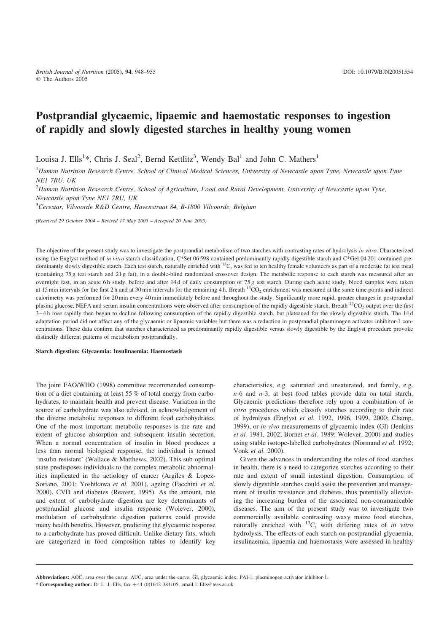# Postprandial glycaemic, lipaemic and haemostatic responses to ingestion of rapidly and slowly digested starches in healthy young women

Louisa J. Ells<sup>1</sup>\*, Chris J. Seal<sup>2</sup>, Bernd Kettlitz<sup>3</sup>, Wendy Bal<sup>1</sup> and John C. Mathers<sup>1</sup>

<sup>1</sup>Human Nutrition Research Centre, School of Clinical Medical Sciences, University of Newcastle upon Tyne, Newcastle upon Tyne NE1 7RU, UK

 $^{2}$ Human Nutrition Research Centre, School of Agriculture, Food and Rural Development, University of Newcastle upon Tyne, Newcastle upon Tyne NE1 7RU, UK

<sup>3</sup>Cerestar, Vilvoorde R&D Centre, Havenstraat 84, B-1800 Vilvoorde, Belgium

(Received 29 October 2004 – Revised 17 May 2005 – Accepted 20 June 2005)

The objective of the present study was to investigate the postprandial metabolism of two starches with contrasting rates of hydrolysis in vitro. Characterized using the Englyst method of in vitro starch classification, C\*Set 06 598 contained predominantly rapidly digestible starch and C\*Gel 04 201 contained predominantly slowly digestible starch. Each test starch, naturally enriched with <sup>13</sup>C, was fed to ten healthy female volunteers as part of a moderate fat test meal (containing 75 g test starch and 21 g fat), in a double-blind randomized crossover design. The metabolic response to each starch was measured after an overnight fast, in an acute 6h study, before and after 14d of daily consumption of 75 g test starch. During each acute study, blood samples were taken at 15 min intervals for the first 2 h and at 30 min intervals for the remaining 4 h. Breath  $13CO<sub>2</sub>$  enrichment was measured at the same time points and indirect calorimetry was performed for 20 min every 40 min immediately before and throughout the study. Significantly more rapid, greater changes in postprandial plasma glucose, NEFA and serum insulin concentrations were observed after consumption of the rapidly digestible starch. Breath  $^{13}CO_2$  output over the first 3–4 h rose rapidly then began to decline following consumption of the rapidly digestible starch, but plateaued for the slowly digestible starch. The 14 d adaptation period did not affect any of the glycaemic or lipaemic variables but there was a reduction in postprandial plasminogen activator inhibitor-1 concentrations. These data confirm that starches characterized as predominantly rapidly digestible versus slowly digestible by the Englyst procedure provoke distinctly different patterns of metabolism postprandially.

Starch digestion: Glycaemia: Insulinaemia: Haemostasis

The joint FAO/WHO (1998) committee recommended consumption of a diet containing at least 55 % of total energy from carbohydrates, to maintain health and prevent disease. Variation in the source of carbohydrate was also advised, in acknowledgement of the diverse metabolic responses to different food carbohydrates. One of the most important metabolic responses is the rate and extent of glucose absorption and subsequent insulin secretion. When a normal concentration of insulin in blood produces a less than normal biological response, the individual is termed 'insulin resistant' (Wallace & Matthews, 2002). This sub-optimal state predisposes individuals to the complex metabolic abnormalities implicated in the aetiology of cancer (Argiles & Lopez-Soriano, 2001; Yoshikawa et al. 2001), ageing (Facchini et al. 2000), CVD and diabetes (Reaven, 1995). As the amount, rate and extent of carbohydrate digestion are key determinants of postprandial glucose and insulin response (Wolever, 2000), modulation of carbohydrate digestion patterns could provide many health benefits. However, predicting the glycaemic response to a carbohydrate has proved difficult. Unlike dietary fats, which are categorized in food composition tables to identify key

characteristics, e.g. saturated and unsaturated, and family, e.g. n-6 and n-3, at best food tables provide data on total starch. Glycaemic predictions therefore rely upon a combination of in vitro procedures which classify starches according to their rate of hydrolysis (Englyst et al. 1992, 1996, 1999, 2000; Champ, 1999), or in vivo measurements of glycaemic index (GI) (Jenkins et al. 1981, 2002; Bornet et al. 1989; Wolever, 2000) and studies using stable isotope-labelled carbohydrates (Normand et al. 1992; Vonk et al. 2000).

Given the advances in understanding the roles of food starches in health, there is a need to categorize starches according to their rate and extent of small intestinal digestion. Consumption of slowly digestible starches could assist the prevention and management of insulin resistance and diabetes, thus potentially alleviating the increasing burden of the associated non-communicable diseases. The aim of the present study was to investigate two commercially available contrasting waxy maize food starches, naturally enriched with  $^{13}$ C, with differing rates of in vitro hydrolysis. The effects of each starch on postprandial glycaemia, insulinaemia, lipaemia and haemostasis were assessed in healthy

Abbreviations: AOC, area over the curve; AUC, area under the curve; GI, glycaemic index; PAI-1, plasminogen activator inhibitor-1.

<sup>\*</sup> Corresponding author: Dr L. J. Ells, fax +44 (0)1642 384105, email L.Ells@tees.ac.uk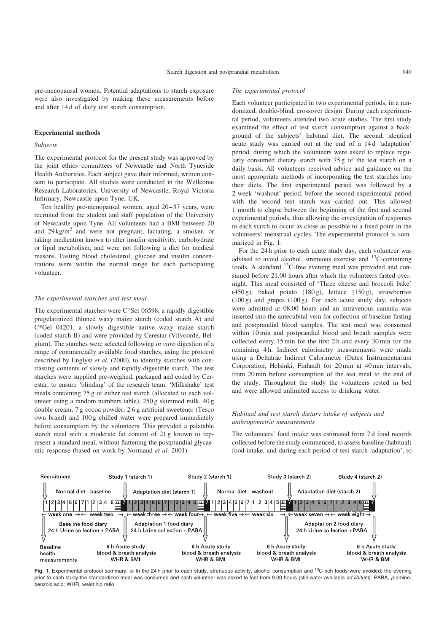pre-menopausal women. Potential adaptations to starch exposure were also investigated by making these measurements before and after 14 d of daily test starch consumption.

#### Experimental methods

## Subjects

The experimental protocol for the present study was approved by the joint ethics committees of Newcastle and North Tyneside Health Authorities. Each subject gave their informed, written consent to participate. All studies were conducted in the Wellcome Research Laboratories, University of Newcastle, Royal Victoria Infirmary, Newcastle upon Tyne, UK.

Ten healthy pre-menopausal women, aged 20–37 years, were recruited from the student and staff population of the University of Newcastle upon Tyne. All volunteers had a BMI between 20 and  $29 \text{ kg/m}^2$  and were not pregnant, lactating, a smoker, or taking medication known to alter insulin sensitivity, carbohydrate or lipid metabolism, and were not following a diet for medical reasons. Fasting blood cholesterol, glucose and insulin concentrations were within the normal range for each participating volunteer.

#### The experimental starches and test meal

The experimental starches were C\*Set 06598, a rapidly digestible pregelatinized thinned waxy maize starch (coded starch A) and C\*Gel 04201, a slowly digestible native waxy maize starch (coded starch B) and were provided by Cerestar (Vilvoorde, Belgium). The starches were selected following in vitro digestion of a range of commercially available food starches, using the protocol described by Englyst et al. (2000), to identify starches with contrasting contents of slowly and rapidly digestible starch. The test starches were supplied pre-weighed, packaged and coded by Cerestar, to ensure 'blinding' of the research team. 'Milkshake' test meals containing 75 g of either test starch (allocated to each volunteer using a random numbers table), 250 g skimmed milk, 40 g double cream, 7 g cocoa powder, 2·6 g artificial sweetener (Tesco own brand) and 100 g chilled water were prepared immediately before consumption by the volunteers. This provided a palatable starch meal with a moderate fat content of 21 g known to represent a standard meal, without flattening the postprandial glycaemic response (based on work by Normand et al. 2001).

## The experimental protocol

Each volunteer participated in two experimental periods, in a randomized, double-blind, crossover design. During each experimental period, volunteers attended two acute studies. The first study examined the effect of test starch consumption against a background of the subjects' habitual diet. The second, identical acute study was carried out at the end of a 14 d 'adaptation' period, during which the volunteers were asked to replace regularly consumed dietary starch with 75 g of the test starch on a daily basis. All volunteers received advice and guidance on the most appropriate methods of incorporating the test starches into their diets. The first experimental period was followed by a 2-week 'washout' period, before the second experimental period with the second test starch was carried out. This allowed 1 month to elapse between the beginning of the first and second experimental periods, thus allowing the investigation of responses to each starch to occur as close as possible to a fixed point in the volunteers' menstrual cycles. The experimental protocol is summarized in Fig. 1.

For the 24 h prior to each acute study day, each volunteer was advised to avoid alcohol, strenuous exercise and  $^{13}$ C-containing foods. A standard  $^{13}$ C-free evening meal was provided and consumed before 21.00 hours after which the volunteers fasted overnight. This meal consisted of 'Three cheese and broccoli bake'  $(450 \text{ g})$ , baked potato  $(180 \text{ g})$ , lettuce  $(150 \text{ g})$ , strawberries  $(100 \text{ g})$  and grapes  $(100 \text{ g})$ . For each acute study day, subjects were admitted at 08.00 hours and an intravenous cannula was inserted into the antecubital vein for collection of baseline fasting and postprandial blood samples. The test meal was consumed within 10 min and postprandial blood and breath samples were collected every 15 min for the first 2 h and every 30 min for the remaining 4 h. Indirect calorimetry measurements were made using a Deltatrac Indirect Calorimeter (Datex Instrumentarium Corporation, Helsinki, Finland) for 20 min at 40 min intervals, from 20 min before consumption of the test meal to the end of the study. Throughout the study the volunteers rested in bed and were allowed unlimited access to drinking water.

# Habitual and test starch dietary intake of subjects and anthropometric measurements

The volunteers' food intake was estimated from 7 d food records collected before the study commenced, to assess baseline (habitual) food intake, and during each period of test starch 'adaptation', to



Fig. 1. Experimental protocol summary. *■* In the 24 h prior to each study, strenuous activity, alcohol consumption and <sup>13</sup>C-rich foods were avoided; the evening prior to each study the standardized meal was consumed and each volunteer was asked to fast from 9.00 hours (still water available ad libitum). PABA, p-aminobenzoic acid; WHR, waist:hip ratio.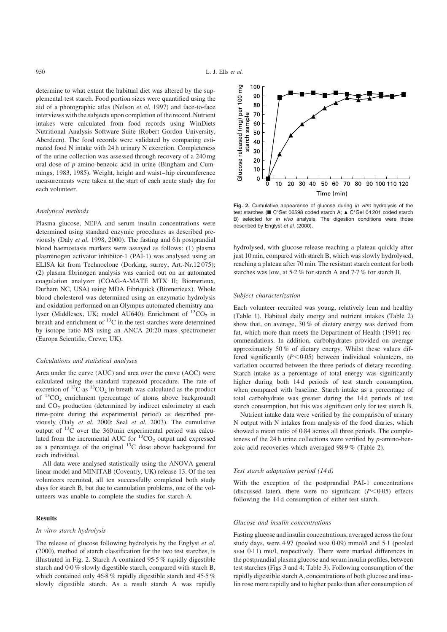determine to what extent the habitual diet was altered by the supplemental test starch. Food portion sizes were quantified using the aid of a photographic atlas (Nelson et al. 1997) and face-to-face interviews with the subjects upon completion of the record. Nutrient intakes were calculated from food records using WinDiets Nutritional Analysis Software Suite (Robert Gordon University, Aberdeen). The food records were validated by comparing estimated food N intake with 24 h urinary N excretion. Completeness of the urine collection was assessed through recovery of a 240 mg oral dose of p-amino-benzoic acid in urine (Bingham and Cummings, 1983, 1985). Weight, height and waist – hip circumference measurements were taken at the start of each acute study day for each volunteer.

## Analytical methods

Plasma glucose, NEFA and serum insulin concentrations were determined using standard enzymic procedures as described previously (Daly et al. 1998, 2000). The fasting and 6 h postprandial blood haemostasis markers were assayed as follows: (1) plasma plasminogen activator inhibitor-1 (PAI-1) was analysed using an ELISA kit from Technoclone (Dorking, surrey; Art.-Nr.12 075); (2) plasma fibrinogen analysis was carried out on an automated coagulation analyzer (COAG-A-MATE MTX II; Biomerieux, Durham NC, USA) using MDA Fibriquick (Biomerieux). Whole blood cholesterol was determined using an enzymatic hydrolysis and oxidation performed on an Olympus automated chemistry analyser (Middlesex, UK; model AU640). Enrichment of  ${}^{13}CO_2$  in breath and enrichment of  ${}^{13}C$  in the test starches were determined by isotope ratio MS using an ANCA 20:20 mass spectrometer (Europa Scientific, Crewe, UK).

#### Calculations and statistical analyses

Area under the curve (AUC) and area over the curve (AOC) were calculated using the standard trapezoid procedure. The rate of excretion of  ${}^{13}$ C as  ${}^{13}$ CO<sub>2</sub> in breath was calculated as the product of  ${}^{13}CO_2$  enrichment (percentage of atoms above background) and  $CO<sub>2</sub>$  production (determined by indirect calorimetry at each time-point during the experimental period) as described previously (Daly et al. 2000; Seal et al. 2003). The cumulative output of 13C over the 360 min experimental period was calculated from the incremental AUC for  ${}^{13}CO_2$  output and expressed as a percentage of the original  $^{13}$ C dose above background for each individual.

All data were analysed statistically using the ANOVA general linear model and MINITAB (Coventry, UK) release 13. Of the ten volunteers recruited, all ten successfully completed both study days for starch B, but due to cannulation problems, one of the volunteers was unable to complete the studies for starch A.

## Results

#### In vitro starch hydrolysis

The release of glucose following hydrolysis by the Englyst et al. (2000), method of starch classification for the two test starches, is illustrated in Fig. 2. Starch A contained 95·5 % rapidly digestible starch and 0·0 % slowly digestible starch, compared with starch B, which contained only 46·8 % rapidly digestible starch and 45·5 % slowly digestible starch. As a result starch A was rapidly



Fig. 2. Cumulative appearance of glucose during in vitro hydrolysis of the test starches (■ C\*Set 06598 coded starch A; ▲ C\*Gel 04 201 coded starch B) selected for in vivo analysis. The digestion conditions were those described by Englyst et al. (2000).

hydrolysed, with glucose release reaching a plateau quickly after just 10 min, compared with starch B, which was slowly hydrolysed, reaching a plateau after 70 min. The resistant starch content for both starches was low, at 5·2 % for starch A and 7·7 % for starch B.

#### Subject characterization

Each volunteer recruited was young, relatively lean and healthy ([Table 1\)](#page-3-0). Habitual daily energy and nutrient intakes [\(Table 2\)](#page-3-0) show that, on average, 30 % of dietary energy was derived from fat, which more than meets the Department of Health (1991) recommendations. In addition, carbohydrates provided on average approximately 50 % of dietary energy. Whilst these values differed significantly  $(P<0.05)$  between individual volunteers, no variation occurred between the three periods of dietary recording. Starch intake as a percentage of total energy was significantly higher during both 14 d periods of test starch consumption, when compared with baseline. Starch intake as a percentage of total carbohydrate was greater during the 14 d periods of test starch consumption, but this was significant only for test starch B.

Nutrient intake data were verified by the comparison of urinary N output with N intakes from analysis of the food diaries, which showed a mean ratio of 0·84 across all three periods. The completeness of the 24 h urine collections were verified by  $p$ -amino-benzoic acid recoveries which averaged 98·9 % ([Table 2\)](#page-3-0).

# Test starch adaptation period (14 d)

With the exception of the postprandial PAI-1 concentrations (discussed later), there were no significant  $(P<0.05)$  effects following the 14 d consumption of either test starch.

#### Glucose and insulin concentrations

Fasting glucose and insulin concentrations, averaged across the four study days, were 4·97 (pooled SEM 0·09) mmol/l and 5·1 (pooled SEM 0·11) mu/l, respectively. There were marked differences in the postprandial plasma glucose and serum insulin profiles, between test starches [\(Figs 3 and 4;](#page-4-0) [Table 3\)](#page-5-0). Following consumption of the rapidly digestible starch A, concentrations of both glucose and insulin rose more rapidly and to higher peaks than after consumption of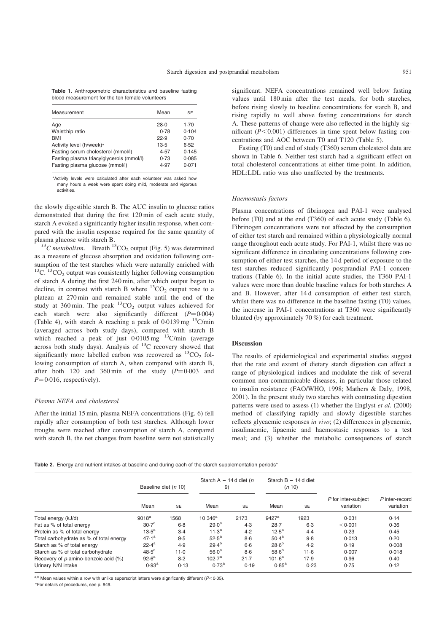<span id="page-3-0"></span>Table 1. Anthropometric characteristics and baseline fasting blood measurement for the ten female volunteers

| Measurement                                                                                                                                 | Mean                                         | SE                                              |
|---------------------------------------------------------------------------------------------------------------------------------------------|----------------------------------------------|-------------------------------------------------|
| Age<br>Waist:hip ratio<br>BMI<br>Activity level (h/week)*<br>Fasting serum cholesterol (mmol/l)<br>Fasting plasma triacylglycerols (mmol/l) | 28.0<br>0.78<br>22.9<br>13.5<br>4.57<br>0.73 | 1.70<br>0.104<br>0.70<br>6.52<br>0.145<br>0.085 |
| Fasting plasma glucose (mmol/l)                                                                                                             | 4.97                                         | 0.071                                           |

\*Activity levels were calculated after each volunteer was asked how many hours a week were spent doing mild, moderate and vigorous activities.

the slowly digestible starch B. The AUC insulin to glucose ratios demonstrated that during the first 120 min of each acute study, starch A evoked a significantly higher insulin response, when compared with the insulin response required for the same quantity of plasma glucose with starch B.<br> $^{13}C$  metabolism. Breath  $^{13}CO_2$  output ([Fig. 5\)](#page-5-0) was determined

as a measure of glucose absorption and oxidation following consumption of the test starches which were naturally enriched with  $13^1$ C.  $13^1$ CO<sub>2</sub> output was consistently higher following consumption of starch A during the first 240 min, after which output began to decline, in contrast with starch B where  ${}^{13}CO_2$  output rose to a plateau at 270 min and remained stable until the end of the study at 360 min. The peak  ${}^{13}CO_2$  output values achieved for each starch were also significantly different  $(P=0.004)$ ([Table 4](#page-5-0)), with starch A reaching a peak of  $0.0139$  mg  $^{13}$ C/min (averaged across both study days), compared with starch B which reached a peak of just  $0.0105$  mg  $13$ C/min (average across both study days). Analysis of 13C recovery showed that significantly more labelled carbon was recovered as  ${}^{13}CO$  following consumption of starch A, when compared with starch B, after both 120 and 360 min of the study  $(P=0.003$  and  $P=0.016$ , respectively).

#### Plasma NEFA and cholesterol

After the initial 15 min, plasma NEFA concentrations [\(Fig. 6](#page-5-0)) fell rapidly after consumption of both test starches. Although lower troughs were reached after consumption of starch A, compared with starch B, the net changes from baseline were not statistically significant. NEFA concentrations remained well below fasting values until 180 min after the test meals, for both starches, before rising slowly to baseline concentrations for starch B, and rising rapidly to well above fasting concentrations for starch A. These patterns of change were also reflected in the highly significant  $(P<0.001)$  differences in time spent below fasting concentrations and AOC between T0 and T120 [\(Table 5](#page-6-0)).

Fasting (T0) and end of study (T360) serum cholesterol data are shown in [Table 6](#page-6-0). Neither test starch had a significant effect on total cholesterol concentrations at either time-point. In addition, HDL:LDL ratio was also unaffected by the treatments.

#### Haemostasis factors

Plasma concentrations of fibrinogen and PAI-1 were analysed before (T0) and at the end (T360) of each acute study ([Table 6\)](#page-6-0). Fibrinogen concentrations were not affected by the consumption of either test starch and remained within a physiologically normal range throughout each acute study. For PAI-1, whilst there was no significant difference in circulating concentrations following consumption of either test starches, the 14 d period of exposure to the test starches reduced significantly postprandial PAI-1 concentrations ([Table 6](#page-6-0)). In the initial acute studies, the T360 PAI-1 values were more than double baseline values for both starches A and B. However, after 14 d consumption of either test starch, whilst there was no difference in the baseline fasting (T0) values, the increase in PAI-1 concentrations at T360 were significantly blunted (by approximately 70 %) for each treatment.

## Discussion

The results of epidemiological and experimental studies suggest that the rate and extent of dietary starch digestion can affect a range of physiological indices and modulate the risk of several common non-communicable diseases, in particular those related to insulin resistance (FAO/WHO, 1998; Mathers & Daly, 1998, 2001). In the present study two starches with contrasting digestion patterns were used to assess (1) whether the Englyst et al. (2000) method of classifying rapidly and slowly digestible starches reflects glycaemic responses in vivo; (2) differences in glycaemic, insulinaemic, lipaemic and haemostasic responses to a test meal; and (3) whether the metabolic consequences of starch

Table 2. Energy and nutrient intakes at baseline and during each of the starch supplementation periods\*

|                                         | Baseline diet (n 10) |           | Starch A $-$ 14 d diet (n<br>9) |           | Starch $B - 14d$ diet<br>(n 10) |           |                                  |                             |
|-----------------------------------------|----------------------|-----------|---------------------------------|-----------|---------------------------------|-----------|----------------------------------|-----------------------------|
|                                         | Mean                 | <b>SE</b> | Mean                            | <b>SE</b> | Mean                            | <b>SE</b> | P for inter-subject<br>variation | P inter-record<br>variation |
| Total energy (kJ/d)                     | 9018 <sup>a</sup>    | 1568      | 10 34 $6^{\circ}$               | 2173      | $9427^{\rm a}$                  | 1923      | 0.031                            | 0.14                        |
| Fat as % of total energy                | 30.7 <sup>a</sup>    | $6-8$     | 29.0 <sup>a</sup>               | 4.3       | 28.7                            | 6.3       | < 0.001                          | 0.36                        |
| Protein as % of total energy            | $13.5^a$             | $3-4$     | 11.3 <sup>a</sup>               | 4.2       | $12.5^{\rm a}$                  | 4.4       | 0.23                             | 0.45                        |
| Total carbohydrate as % of total energy | $47.1^a$             | 9.5       | $52.5^{\circ}$                  | $8-6$     | 50.4 <sup>a</sup>               | 9.8       | 0.013                            | 0.20                        |
| Starch as % of total energy             | $22.4^a$             | 4.9       | $29.4^{b}$                      | $6-6$     | $28.6^{b}$                      | 4.2       | 0.19                             | 0.008                       |
| Starch as % of total carbohydrate       | $48.5^{\rm a}$       | 11.0      | $56.0^a$                        | $8-6$     | $58.6^{b}$                      | 11.6      | 0.007                            | 0.018                       |
| Recovery of p-amino-benzoic acid (%)    | $92.6^{\rm a}$       | 8.2       | 102.7 <sup>a</sup>              | 21.7      | $101.6^a$                       | 17.9      | 0.96                             | 0.40                        |
| Urinary N/N intake                      | 0.93 <sup>a</sup>    | 0.13      | 0.73 <sup>a</sup>               | 0.19      | $0.85^{\rm a}$                  | 0.23      | 0.75                             | 0.12                        |
|                                         |                      |           |                                 |           |                                 |           |                                  |                             |

a,b Mean values within a row with unlike superscript letters were significantly different ( $P<0.05$ ).

\*For details of procedures, see p. 949.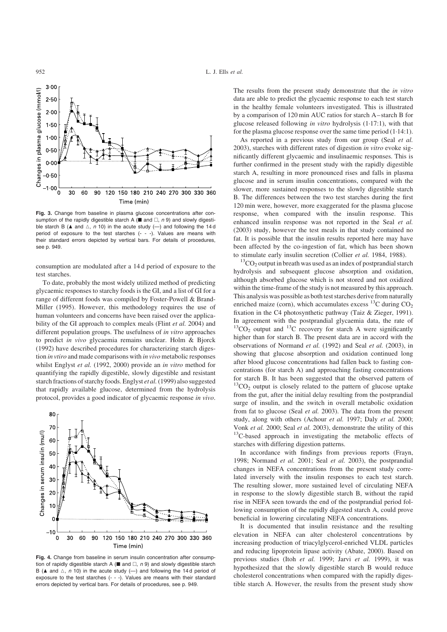<span id="page-4-0"></span>

Fig. 3. Change from baseline in plasma glucose concentrations after consumption of the rapidly digestible starch A ( $\blacksquare$  and  $\square$ , n 9) and slowly digestible starch B ( $\blacktriangle$  and  $\vartriangle$ , n 10) in the acute study (-) and following the 14 d period of exposure to the test starches (- - -). Values are means with their standard errors depicted by vertical bars. For details of procedures, see p. 949.

consumption are modulated after a 14 d period of exposure to the test starches.

To date, probably the most widely utilized method of predicting glycaemic responses to starchy foods is the GI, and a list of GI for a range of different foods was compiled by Foster-Powell & Brand-Miller (1995). However, this methodology requires the use of human volunteers and concerns have been raised over the applicability of the GI approach to complex meals (Flint et al. 2004) and different population groups. The usefulness of in vitro approaches to predict in vivo glycaemia remains unclear. Holm & Bjorck (1992) have described procedures for characterizing starch digestion in vtiro and made comparisons with in vivo metabolic responses whilst Englyst et al. (1992, 2000) provide an in vitro method for quantifying the rapidly digestible, slowly digestible and resistant starch fractions of starchy foods. Englyst et al.(1999) also suggested that rapidly available glucose, determined from the hydrolysis protocol, provides a good indicator of glycaemic response in vivo.



Fig. 4. Change from baseline in serum insulin concentration after consumption of rapidly digestible starch A ( $\blacksquare$  and  $\square$ , n 9) and slowly digestible starch B ( $\blacktriangle$  and  $\vartriangle$ , n 10) in the acute study (-) and following the 14d period of exposure to the test starches (- - -). Values are means with their standard errors depicted by vertical bars. For details of procedures, see p. 949.

The results from the present study demonstrate that the in vitro data are able to predict the glycaemic response to each test starch in the healthy female volunteers investigated. This is illustrated by a comparison of 120 min AUC ratios for starch A – starch B for glucose released following in vitro hydrolysis (1·17:1), with that for the plasma glucose response over the same time period (1·14:1).

As reported in a previous study from our group (Seal et al. 2003), starches with different rates of digestion in vitro evoke significantly different glycaemic and insulinaemic responses. This is further confirmed in the present study with the rapidly digestible starch A, resulting in more pronounced rises and falls in plasma glucose and in serum insulin concentrations, compared with the slower, more sustained responses to the slowly digestible starch B. The differences between the two test starches during the first 120 min were, however, more exaggerated for the plasma glucose response, when compared with the insulin response. This enhanced insulin response was not reported in the Seal et al. (2003) study, however the test meals in that study contained no fat. It is possible that the insulin results reported here may have been affected by the co-ingestion of fat, which has been shown to stimulate early insulin secretion (Collier *et al.* 1984, 1988). <sup>13</sup>CO<sub>2</sub> output in breath was used as an index of postprandial starch

hydrolysis and subsequent glucose absorption and oxidation, although absorbed glucose which is not stored and not oxidized within the time-frame of the study is not measured by this approach. This analysis was possible as both test starches derive from naturally enriched maize (corn), which accumulates excess  $^{13}$ C during CO<sub>2</sub> fixation in the C4 photosynthetic pathway (Taiz & Zieger, 1991). In agreement with the postprandial glycaemia data, the rate of  $13CO<sub>2</sub>$  output and  $13C$  recovery for starch A were significantly higher than for starch B. The present data are in accord with the observations of Normand et al. (1992) and Seal et al. (2003), in showing that glucose absorption and oxidation continued long after blood glucose concentrations had fallen back to fasting concentrations (for starch A) and approaching fasting concentrations for starch B. It has been suggested that the observed pattern of  $13^1$ CO<sub>2</sub> output is closely related to the pattern of glucose uptake from the gut, after the initial delay resulting from the postprandial surge of insulin, and the switch in overall metabolic oxidation from fat to glucose (Seal et al. 2003). The data from the present study, along with others (Achour *et al.* 1997; Daly *et al.* 2000; Vonk *et al.* 2000; Seal *et al.* 2003), demonstrate the utility of this <sup>13</sup>C-based approach in investigating the metabolic effects of starches with differing digestion patterns.

In accordance with findings from previous reports (Frayn, 1998; Normand et al. 2001; Seal et al. 2003), the postprandial changes in NEFA concentrations from the present study correlated inversely with the insulin responses to each test starch. The resulting slower, more sustained level of circulating NEFA in response to the slowly digestible starch B, without the rapid rise in NEFA seen towards the end of the postprandial period following consumption of the rapidly digested starch A, could prove beneficial in lowering circulating NEFA concentrations.

It is documented that insulin resistance and the resulting elevation in NEFA can alter cholesterol concentrations by increasing production of triacylglycerol-enriched VLDL particles and reducing lipoprotein lipase activity (Abate, 2000). Based on previous studies (Itoh et al. 1999; Jarvi et al. 1999), it was hypothesized that the slowly digestible starch B would reduce cholesterol concentrations when compared with the rapidly digestible starch A. However, the results from the present study show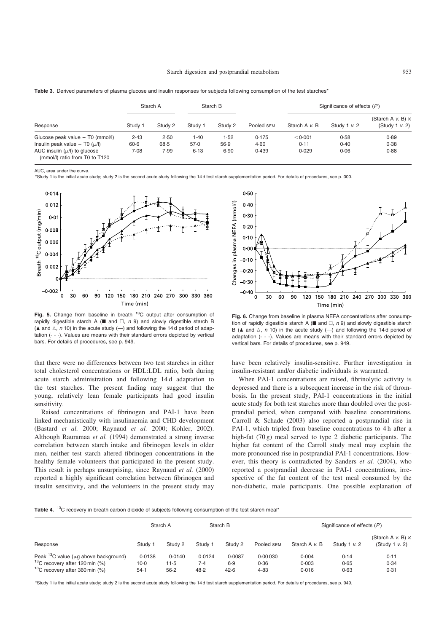| Response                              |          | Starch A |         | Starch B |            | Significance of effects $(P)$ |                 |                                                  |  |
|---------------------------------------|----------|----------|---------|----------|------------|-------------------------------|-----------------|--------------------------------------------------|--|
|                                       | Study 1  | Study 2  | Study 1 | Study 2  | Pooled SEM | Starch A v. B                 | Study 1 $v$ . 2 | (Starch A $v$ . B) $\times$<br>(Study 1 $v$ , 2) |  |
| Glucose peak value - T0 (mmol/l)      | 2.43     | 2.50     | 1.40    | 1.52     | 0.175      | < 0.001                       | 0.58            | 0.89                                             |  |
| Insulin peak value $-$ T0 ( $\mu$ /I) | $60 - 6$ | 68.5     | 57.0    | 56.9     | 4.60       | 0.11                          | 0.40            | 0.38                                             |  |
| AUC insulin $(\mu/l)$ to glucose      | 7.08     | 7.99     | 6.13    | 6.90     | 0.439      | 0.029                         | 0.06            | 0.88                                             |  |

<span id="page-5-0"></span>

| Table 3. Derived parameters of plasma glucose and insulin responses for subjects following consumption of the test starches* |  |  |  |  |  |  |  |  |  |
|------------------------------------------------------------------------------------------------------------------------------|--|--|--|--|--|--|--|--|--|
|------------------------------------------------------------------------------------------------------------------------------|--|--|--|--|--|--|--|--|--|

AUC, area under the curve.

(mmol/l) ratio from T0 to T120

\*Study 1 is the initial acute study; study 2 is the second acute study following the 14 d test starch supplementation period. For details of procedures, see p. 000.



Fig. 5. Change from baseline in breath  ${}^{13}$ C output after consumption of rapidly digestible starch A ( $\blacksquare$  and  $\square$ , n 9) and slowly digestible starch B ( $\blacktriangle$  and  $\triangle$ , n 10) in the acute study (-) and following the 14 d period of adaptation (- - -). Values are means with their standard errors depicted by vertical bars. For details of procedures, see p. 949.

that there were no differences between two test starches in either total cholesterol concentrations or HDL:LDL ratio, both during acute starch administration and following 14 d adaptation to the test starches. The present finding may suggest that the young, relatively lean female participants had good insulin sensitivity.

Raised concentrations of fibrinogen and PAI-1 have been linked mechanistically with insulinaemia and CHD development (Bastard et al. 2000; Raynaud et al. 2000; Kohler, 2002). Although Rauramaa et al. (1994) demonstrated a strong inverse correlation between starch intake and fibrinogen levels in older men, neither test starch altered fibrinogen concentrations in the healthy female volunteers that participated in the present study. This result is perhaps unsurprising, since Raynaud et al. (2000) reported a highly significant correlation between fibrinogen and insulin sensitivity, and the volunteers in the present study may



Fig. 6. Change from baseline in plasma NEFA concentrations after consumption of rapidly digestible starch A ( $\blacksquare$  and  $\square$ , n 9) and slowly digestible starch B ( $\blacktriangle$  and  $\vartriangle$ , n 10) in the acute study (-) and following the 14d period of adaptation (- - -). Values are means with their standard errors depicted by vertical bars. For details of procedures, see p. 949.

have been relatively insulin-sensitive. Further investigation in insulin-resistant and/or diabetic individuals is warranted.

When PAI-1 concentrations are raised, fibrinolytic activity is depressed and there is a subsequent increase in the risk of thrombosis. In the present study, PAI-1 concentrations in the initial acute study for both test starches more than doubled over the postprandial period, when compared with baseline concentrations. Carroll & Schade (2003) also reported a postprandial rise in PAI-1, which tripled from baseline concentrations to 4 h after a high-fat (70 g) meal served to type 2 diabetic participants. The higher fat content of the Carroll study meal may explain the more pronounced rise in postprandial PAI-1 concentrations. However, this theory is contradicted by Sanders et al. (2004), who reported a postprandial decrease in PAI-1 concentrations, irrespective of the fat content of the test meal consumed by the non-diabetic, male participants. One possible explanation of

Table 4. <sup>13</sup>C recovery in breath carbon dioxide of subjects following consumption of the test starch meal\*

| Response                                         |         | Starch A |         | Starch B |            | Significance of effects $(P)$ |                   |                                               |  |
|--------------------------------------------------|---------|----------|---------|----------|------------|-------------------------------|-------------------|-----------------------------------------------|--|
|                                                  | Study 1 | Study 2  | Study 1 | Study 2  | Pooled SEM | Starch A v. B                 | Study 1 $\nu$ . 2 | (Starch A $v$ . B) $\times$<br>(Study 1 v. 2) |  |
| Peak $^{13}$ C value ( $\mu$ g above background) | 0.0138  | 0.0140   | 0.0124  | 0.0087   | 0.00030    | 0.004                         | 0.14              | 0.11                                          |  |
| $13^{\circ}$ C recovery after 120 min (%)        | 10.0    | $11-5$   | 7.4     | 6.9      | 0.36       | 0.003                         | 0.65              | 0.34                                          |  |
| $13^{\circ}$ C recovery after 360 min (%)        | 54.1    | 56.2     | 48.2    | 42.6     | 4.83       | 0.016                         | 0.63              | 0.31                                          |  |

\*Study 1 is the initial acute study; study 2 is the second acute study following the 14 d test starch supplementation period. For details of procedures, see p. 949.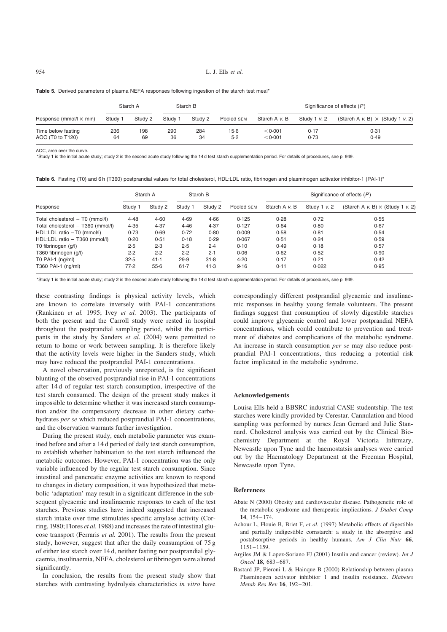<span id="page-6-0"></span>954  $L$  J. Ells *et al.* 

|                                        |           | Starch A  |           | Starch B  |               | Significance of effects $(P)$ |              |                                         |  |
|----------------------------------------|-----------|-----------|-----------|-----------|---------------|-------------------------------|--------------|-----------------------------------------|--|
| Response (mmol/ $\vert \times$ min)    | Study 1   | Study 2   | Study 1   | Study 2   | Pooled SEM    | Starch A v. B                 | Study 1 v. 2 | (Starch A v. B) $\times$ (Study 1 v. 2) |  |
| Time below fasting<br>AOC (T0 to T120) | 236<br>64 | 198<br>69 | 290<br>36 | 284<br>34 | 15.6<br>$5-2$ | < 0.001<br>< 0.001            | 0.17<br>0.73 | 0.31<br>0.49                            |  |

Table 5. Derived parameters of plasma NEFA responses following ingestion of the starch test meal\*

AOC, area over the curve.

\*Study 1 is the initial acute study; study 2 is the second acute study following the 14 d test starch supplementation period. For details of procedures, see p. 949.

Table 6. Fasting (T0) and 6 h (T360) postprandial values for total cholesterol, HDL:LDL ratio, fibrinogen and plasminogen activator inhibitor-1 (PAI-1)\*

|                                   |         | Starch A | Starch B |         |            | Significance of effects $(P)$ |                 |                                         |  |
|-----------------------------------|---------|----------|----------|---------|------------|-------------------------------|-----------------|-----------------------------------------|--|
| Response                          | Study 1 | Study 2  | Study 1  | Study 2 | Pooled SEM | Starch A v. B                 | Study 1 $v$ . 2 | (Starch A v. B) $\times$ (Study 1 v. 2) |  |
| Total cholesterol - T0 (mmol/l)   | 4.48    | 4.60     | 4.69     | 4.66    | 0.125      | 0.28                          | 0.72            | 0.55                                    |  |
| Total cholesterol - T360 (mmol/l) | 4.35    | 4.37     | 4.46     | 4.37    | 0.127      | 0.64                          | 0.80            | 0.67                                    |  |
| HDL:LDL ratio -T0 (mmol/l)        | 0.73    | 0.69     | 0.72     | 0.80    | 0.009      | 0.58                          | 0.81            | 0.54                                    |  |
| HDL:LDL ratio - T360 (mmol/l)     | 0.20    | 0.51     | 0.18     | 0.29    | 0.067      | 0.51                          | 0.24            | 0.59                                    |  |
| T0 fibrinogen (g/l)               | 2.5     | 2.3      | 2.5      | 2.4     | 0.10       | 0.49                          | 0.18            | 0.57                                    |  |
| T360 fibrinogen (g/l)             | 2.2     | 2.2      | 2.2      | 2.1     | 0.06       | 0.62                          | 0.52            | 0.90                                    |  |
| T0 PAI-1 $(nq/ml)$                | 32.5    | 41.1     | 29.9     | 31.8    | 4.20       | 0.17                          | 0.21            | 0.42                                    |  |
| T360 PAI-1 (ng/ml)                | 77.2    | 55.6     | 61.7     | 41.3    | 9.16       | 0.11                          | 0.022           | 0.95                                    |  |

\*Study 1 is the initial acute study; study 2 is the second acute study following the 14 d test starch supplementation period. For details of procedures, see p. 949.

these contrasting findings is physical activity levels, which are known to correlate inversely with PAI-1 concentrations (Rankinen et al. 1995; Ivey et al. 2003). The participants of both the present and the Carroll study were rested in hospital throughout the postprandial sampling period, whilst the participants in the study by Sanders et al. (2004) were permitted to return to home or work between sampling. It is therefore likely that the activity levels were higher in the Sanders study, which may have reduced the postprandial PAI-1 concentrations.

A novel observation, previously unreported, is the significant blunting of the observed postprandial rise in PAI-1 concentrations after 14 d of regular test starch consumption, irrespective of the test starch consumed. The design of the present study makes it impossible to determine whether it was increased starch consumption and/or the compensatory decrease in other dietary carbohydrates per se which reduced postprandial PAI-1 concentrations, and the observation warrants further investigation.

During the present study, each metabolic parameter was examined before and after a 14 d period of daily test starch consumption, to establish whether habituation to the test starch influenced the metabolic outcomes. However, PAI-1 concentration was the only variable influenced by the regular test starch consumption. Since intestinal and pancreatic enzyme activities are known to respond to changes in dietary composition, it was hypothesized that metabolic 'adaptation' may result in a significant difference in the subsequent glycaemic and insulinaemic responses to each of the test starches. Previous studies have indeed suggested that increased starch intake over time stimulates specific amylase activity (Corring, 1980; Flores et al. 1988) and increases the rate of intestinal glucose transport (Ferraris et al. 2001). The results from the present study, however, suggest that after the daily consumption of 75 g of either test starch over 14 d, neither fasting nor postprandial glycaemia, insulinaemia, NEFA, cholesterol or fibrinogen were altered significantly.

In conclusion, the results from the present study show that starches with contrasting hydrolysis characteristics in vitro have

correspondingly different postprandial glycaemic and insulinaemic responses in healthy young female volunteers. The present findings suggest that consumption of slowly digestible starches could improve glycaemic control and lower postprandial NEFA concentrations, which could contribute to prevention and treatment of diabetes and complications of the metabolic syndrome. An increase in starch consumption *per se* may also reduce postprandial PAI-1 concentrations, thus reducing a potential risk factor implicated in the metabolic syndrome.

#### Acknowledgements

Louisa Ells held a BBSRC industrial CASE studentship. The test starches were kindly provided by Cerestar. Cannulation and blood sampling was performed by nurses Jean Gerrard and Julie Stannard. Cholesterol analysis was carried out by the Clinical Biochemistry Department at the Royal Victoria Infirmary, Newcastle upon Tyne and the haemostatsis analyses were carried out by the Haematology Department at the Freeman Hospital, Newcastle upon Tyne.

#### References

- Abate N (2000) Obesity and cardiovascular disease. Pathogenetic role of the metabolic syndrome and therapeutic implications. J Diabet Comp  $14$ ,  $154 - 174$ .
- Achour L, Flouie B, Briet F, et al. (1997) Metabolic effects of digestible and partially indigestible cornstarch: a study in the absorptive and postabsorptive periods in healthy humans. Am J Clin Nutr 66, 1151–1159.
- Argiles JM & Lopez-Soriano FJ (2001) Insulin and cancer (review). Int J Oncol 18, 683–687.
- Bastard JP, Pieroni L & Hainque B (2000) Relationship between plasma Plasminogen activator inhibitor 1 and insulin resistance. Diabetes Metab Res Rev 16, 192–201.